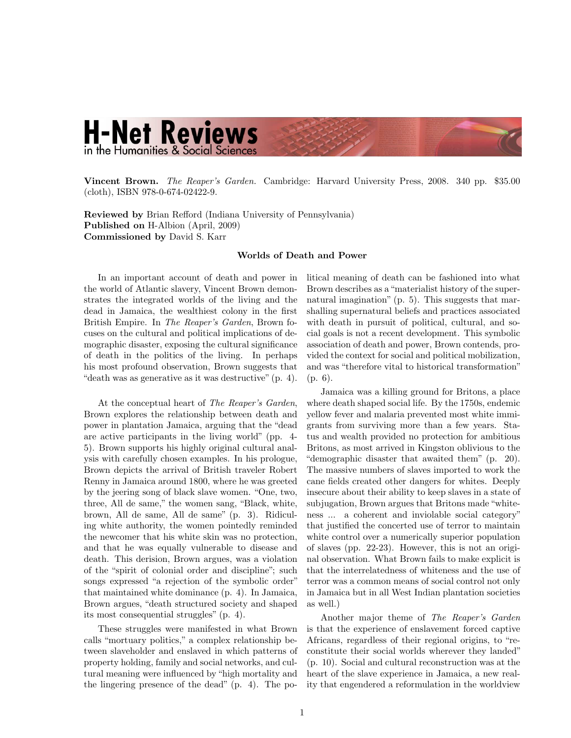## **H-Net Reviews** in the Humanities & Social Science

Vincent Brown. *The Reaper's Garden.* Cambridge: Harvard University Press, 2008. 340 pp. \$35.00 (cloth), ISBN 978-0-674-02422-9.

Reviewed by Brian Refford (Indiana University of Pennsylvania) Published on H-Albion (April, 2009) Commissioned by David S. Karr

## Worlds of Death and Power

In an important account of death and power in the world of Atlantic slavery, Vincent Brown demonstrates the integrated worlds of the living and the dead in Jamaica, the wealthiest colony in the first British Empire. In *The Reaper's Garden*, Brown focuses on the cultural and political implications of demographic disaster, exposing the cultural significance of death in the politics of the living. In perhaps his most profound observation, Brown suggests that "death was as generative as it was destructive" (p. 4).

At the conceptual heart of *The Reaper's Garden*, Brown explores the relationship between death and power in plantation Jamaica, arguing that the "dead are active participants in the living world" (pp. 4- 5). Brown supports his highly original cultural analysis with carefully chosen examples. In his prologue, Brown depicts the arrival of British traveler Robert Renny in Jamaica around 1800, where he was greeted by the jeering song of black slave women. "One, two, three, All de same," the women sang, "Black, white, brown, All de same, All de same" (p. 3). Ridiculing white authority, the women pointedly reminded the newcomer that his white skin was no protection, and that he was equally vulnerable to disease and death. This derision, Brown argues, was a violation of the "spirit of colonial order and discipline"; such songs expressed "a rejection of the symbolic order" that maintained white dominance (p. 4). In Jamaica, Brown argues, "death structured society and shaped its most consequential struggles" (p. 4).

These struggles were manifested in what Brown calls "mortuary politics," a complex relationship between slaveholder and enslaved in which patterns of property holding, family and social networks, and cultural meaning were influenced by "high mortality and the lingering presence of the dead" (p. 4). The political meaning of death can be fashioned into what Brown describes as a"materialist history of the supernatural imagination" (p. 5). This suggests that marshalling supernatural beliefs and practices associated with death in pursuit of political, cultural, and social goals is not a recent development. This symbolic association of death and power, Brown contends, provided the context for social and political mobilization, and was "therefore vital to historical transformation" (p. 6).

Jamaica was a killing ground for Britons, a place where death shaped social life. By the 1750s, endemic yellow fever and malaria prevented most white immigrants from surviving more than a few years. Status and wealth provided no protection for ambitious Britons, as most arrived in Kingston oblivious to the "demographic disaster that awaited them" (p. 20). The massive numbers of slaves imported to work the cane fields created other dangers for whites. Deeply insecure about their ability to keep slaves in a state of subjugation, Brown argues that Britons made "whiteness ... a coherent and inviolable social category" that justified the concerted use of terror to maintain white control over a numerically superior population of slaves (pp. 22-23). However, this is not an original observation. What Brown fails to make explicit is that the interrelatedness of whiteness and the use of terror was a common means of social control not only in Jamaica but in all West Indian plantation societies as well.)

Another major theme of *The Reaper's Garden* is that the experience of enslavement forced captive Africans, regardless of their regional origins, to "reconstitute their social worlds wherever they landed" (p. 10). Social and cultural reconstruction was at the heart of the slave experience in Jamaica, a new reality that engendered a reformulation in the worldview